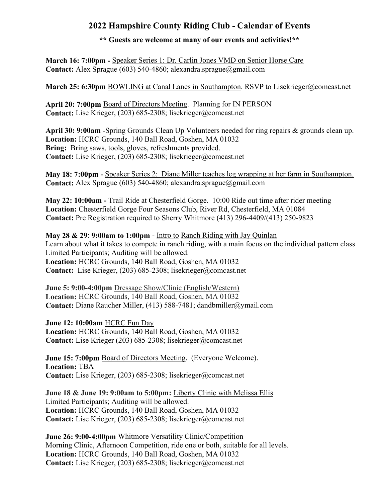## 2022 Hampshire County Riding Club - Calendar of Events

## \*\* Guests are welcome at many of our events and activities!\*\*

March 16: 7:00pm - Speaker Series 1: Dr. Carlin Jones VMD on Senior Horse Care Contact: Alex Sprague (603) 540-4860; alexandra.sprague@gmail.com

March 25: 6:30pm BOWLING at Canal Lanes in Southampton. RSVP to Lisekrieger@comcast.net

April 20: 7:00pm Board of Directors Meeting. Planning for IN PERSON Contact: Lise Krieger, (203) 685-2308; lisekrieger@comcast.net

April 30: 9:00am -Spring Grounds Clean Up Volunteers needed for ring repairs & grounds clean up. Location: HCRC Grounds, 140 Ball Road, Goshen, MA 01032 Bring: Bring saws, tools, gloves, refreshments provided. Contact: Lise Krieger, (203) 685-2308; lisekrieger@comcast.net

May 18: 7:00pm - Speaker Series 2: Diane Miller teaches leg wrapping at her farm in Southampton. Contact: Alex Sprague (603) 540-4860; alexandra.sprague@gmail.com

May 22: 10:00am - Trail Ride at Chesterfield Gorge. 10:00 Ride out time after rider meeting Location: Chesterfield Gorge Four Seasons Club, River Rd, Chesterfield, MA 01084 Contact: Pre Registration required to Sherry Whitmore (413) 296-4409/(413) 250-9823

## May 28 & 29: 9:00am to 1:00pm - Intro to Ranch Riding with Jay Quinlan

Learn about what it takes to compete in ranch riding, with a main focus on the individual pattern class Limited Participants; Auditing will be allowed.

Location: HCRC Grounds, 140 Ball Road, Goshen, MA 01032 Contact: Lise Krieger, (203) 685-2308; lisekrieger@comcast.net

June 5: 9:00-4:00pm Dressage Show/Clinic (English/Western) Location: HCRC Grounds, 140 Ball Road, Goshen, MA 01032 Contact: Diane Raucher Miller, (413) 588-7481; dandbmiller@ymail.com

June 12: 10:00am HCRC Fun Day Location: HCRC Grounds, 140 Ball Road, Goshen, MA 01032 Contact: Lise Krieger (203) 685-2308; lisekrieger@comcast.net

June 15: 7:00pm Board of Directors Meeting. (Everyone Welcome). Location: TBA Contact: Lise Krieger, (203) 685-2308; lisekrieger@comcast.net

June 18 & June 19: 9:00am to 5:00pm: Liberty Clinic with Melissa Ellis Limited Participants; Auditing will be allowed. Location: HCRC Grounds, 140 Ball Road, Goshen, MA 01032 Contact: Lise Krieger, (203) 685-2308; lisekrieger@comcast.net

June 26: 9:00-4:00pm Whitmore Versatility Clinic/Competition Morning Clinic, Afternoon Competition, ride one or both, suitable for all levels. Location: HCRC Grounds, 140 Ball Road, Goshen, MA 01032 Contact: Lise Krieger, (203) 685-2308; lisekrieger@comcast.net